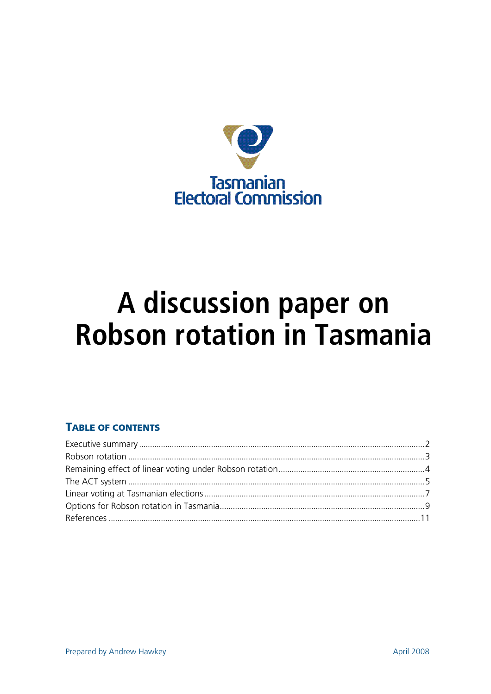

# A discussion paper on **Robson rotation in Tasmania**

# **TABLE OF CONTENTS**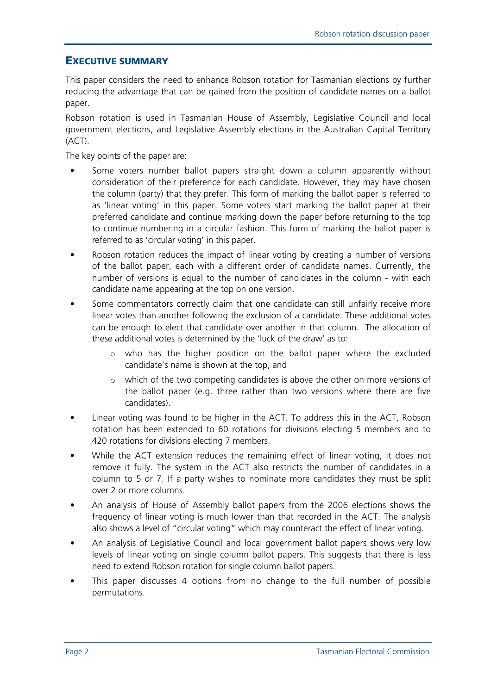# EXECUTIVE SUMMARY

This paper considers the need to enhance Robson rotation for Tasmanian elections by further reducing the advantage that can be gained from the position of candidate names on a ballot paper.

Robson rotation is used in Tasmanian House of Assembly, Legislative Council and local government elections, and Legislative Assembly elections in the Australian Capital Territory (ACT).

The key points of the paper are:

- Some voters number ballot papers straight down a column apparently without consideration of their preference for each candidate. However, they may have chosen the column (party) that they prefer. This form of marking the ballot paper is referred to as 'linear voting' in this paper. Some voters start marking the ballot paper at their preferred candidate and continue marking down the paper before returning to the top to continue numbering in a circular fashion. This form of marking the ballot paper is referred to as 'circular voting' in this paper.
- Robson rotation reduces the impact of linear voting by creating a number of versions of the ballot paper, each with a different order of candidate names. Currently, the number of versions is equal to the number of candidates in the column - with each candidate name appearing at the top on one version.
- Some commentators correctly claim that one candidate can still unfairly receive more linear votes than another following the exclusion of a candidate. These additional votes can be enough to elect that candidate over another in that column. The allocation of these additional votes is determined by the 'luck of the draw' as to:
	- o who has the higher position on the ballot paper where the excluded candidate's name is shown at the top, and
	- o which of the two competing candidates is above the other on more versions of the ballot paper (e.g. three rather than two versions where there are five candidates).
- Linear voting was found to be higher in the ACT. To address this in the ACT, Robson rotation has been extended to 60 rotations for divisions electing 5 members and to 420 rotations for divisions electing 7 members.
- While the ACT extension reduces the remaining effect of linear voting, it does not remove it fully. The system in the ACT also restricts the number of candidates in a column to 5 or 7. If a party wishes to nominate more candidates they must be split over 2 or more columns.
- An analysis of House of Assembly ballot papers from the 2006 elections shows the frequency of linear voting is much lower than that recorded in the ACT. The analysis also shows a level of "circular voting" which may counteract the effect of linear voting.
- An analysis of Legislative Council and local government ballot papers shows very low levels of linear voting on single column ballot papers. This suggests that there is less need to extend Robson rotation for single column ballot papers.
- This paper discusses 4 options from no change to the full number of possible permutations.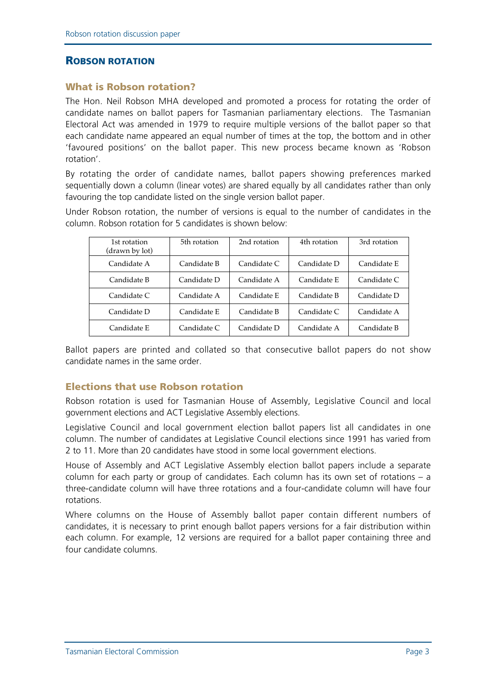#### ROBSON ROTATION

#### What is Robson rotation?

The Hon. Neil Robson MHA developed and promoted a process for rotating the order of candidate names on ballot papers for Tasmanian parliamentary elections. The Tasmanian Electoral Act was amended in 1979 to require multiple versions of the ballot paper so that each candidate name appeared an equal number of times at the top, the bottom and in other 'favoured positions' on the ballot paper. This new process became known as 'Robson rotation'.

By rotating the order of candidate names, ballot papers showing preferences marked sequentially down a column (linear votes) are shared equally by all candidates rather than only favouring the top candidate listed on the single version ballot paper.

Under Robson rotation, the number of versions is equal to the number of candidates in the column. Robson rotation for 5 candidates is shown below:

| 1st rotation<br>(drawn by lot) | 5th rotation | 2nd rotation | 4th rotation | 3rd rotation |
|--------------------------------|--------------|--------------|--------------|--------------|
| Candidate A                    | Candidate B  | Candidate C  | Candidate D  | Candidate E  |
| Candidate B                    | Candidate D  | Candidate A  | Candidate E  | Candidate C  |
| Candidate C                    | Candidate A  | Candidate E  | Candidate B  | Candidate D  |
| Candidate D                    | Candidate E  | Candidate B  | Candidate C  | Candidate A  |
| Candidate E                    | Candidate C  | Candidate D  | Candidate A  | Candidate B  |

Ballot papers are printed and collated so that consecutive ballot papers do not show candidate names in the same order.

#### Elections that use Robson rotation

Robson rotation is used for Tasmanian House of Assembly, Legislative Council and local government elections and ACT Legislative Assembly elections.

Legislative Council and local government election ballot papers list all candidates in one column. The number of candidates at Legislative Council elections since 1991 has varied from 2 to 11. More than 20 candidates have stood in some local government elections.

House of Assembly and ACT Legislative Assembly election ballot papers include a separate column for each party or group of candidates. Each column has its own set of rotations – a three-candidate column will have three rotations and a four-candidate column will have four rotations.

Where columns on the House of Assembly ballot paper contain different numbers of candidates, it is necessary to print enough ballot papers versions for a fair distribution within each column. For example, 12 versions are required for a ballot paper containing three and four candidate columns.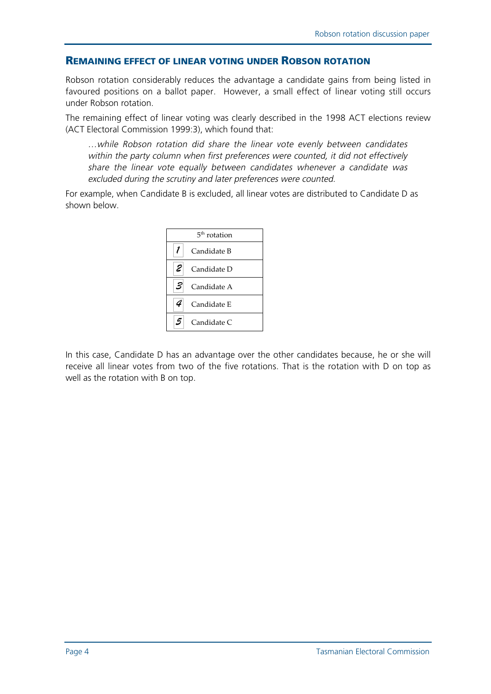#### REMAINING EFFECT OF LINEAR VOTING UNDER ROBSON ROTATION

Robson rotation considerably reduces the advantage a candidate gains from being listed in favoured positions on a ballot paper. However, a small effect of linear voting still occurs under Robson rotation.

The remaining effect of linear voting was clearly described in the 1998 ACT elections review (ACT Electoral Commission 1999:3), which found that:

…while Robson rotation did share the linear vote evenly between candidates within the party column when first preferences were counted, it did not effectively share the linear vote equally between candidates whenever a candidate was excluded during the scrutiny and later preferences were counted.

For example, when Candidate B is excluded, all linear votes are distributed to Candidate D as shown below.



In this case, Candidate D has an advantage over the other candidates because, he or she will receive all linear votes from two of the five rotations. That is the rotation with D on top as well as the rotation with B on top.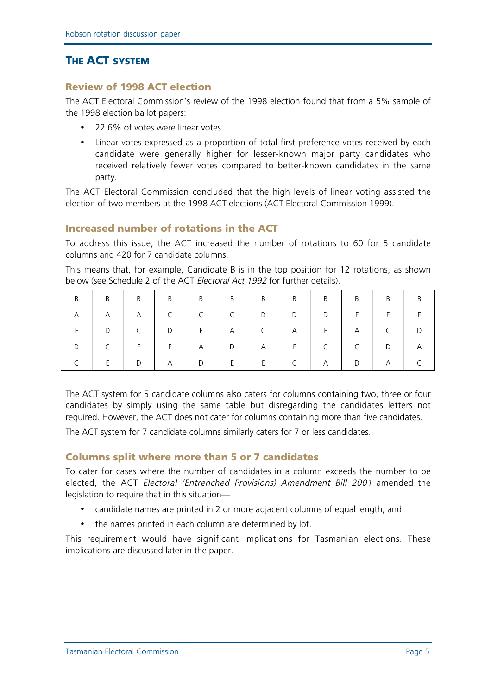# **THE ACT SYSTEM**

# Review of 1998 ACT election

The ACT Electoral Commission's review of the 1998 election found that from a 5% sample of the 1998 election ballot papers:

- 22.6% of votes were linear votes.
- Linear votes expressed as a proportion of total first preference votes received by each candidate were generally higher for lesser-known major party candidates who received relatively fewer votes compared to better-known candidates in the same party.

The ACT Electoral Commission concluded that the high levels of linear voting assisted the election of two members at the 1998 ACT elections (ACT Electoral Commission 1999).

# Increased number of rotations in the ACT

To address this issue, the ACT increased the number of rotations to 60 for 5 candidate columns and 420 for 7 candidate columns.

This means that, for example, Candidate B is in the top position for 12 rotations, as shown below (see Schedule 2 of the ACT Electoral Act 1992 for further details).

| B <sub>a</sub> |                                                                                 |   |                                                                                    |      |                               |  |                   | $\overline{B}$ | $\vert$ B |
|----------------|---------------------------------------------------------------------------------|---|------------------------------------------------------------------------------------|------|-------------------------------|--|-------------------|----------------|-----------|
| A              | $\begin{array}{cccccccccc} \shortparallel & & A & & \shortparallel \end{array}$ |   |                                                                                    |      | $C \mid D \mid D \mid D \mid$ |  | $E \qquad \qquad$ | E              |           |
|                | $\begin{array}{c c} & D & \cdots \end{array}$                                   |   |                                                                                    |      | $C \qquad \qquad$             |  | A                 | $\overline{C}$ |           |
| D              | $\overline{C}$                                                                  | E |                                                                                    |      |                               |  |                   | D              | <b>A</b>  |
|                | $\epsilon = -\mathsf{E}(\mathbb{R}^n)$ .                                        |   | $\begin{array}{c c c c c c c} \hline & \text{D} & \text{A} & \text{D} \end{array}$ | $-E$ | F                             |  |                   | $\mathbf{A}$   |           |

The ACT system for 5 candidate columns also caters for columns containing two, three or four candidates by simply using the same table but disregarding the candidates letters not required. However, the ACT does not cater for columns containing more than five candidates.

The ACT system for 7 candidate columns similarly caters for 7 or less candidates.

#### Columns split where more than 5 or 7 candidates

To cater for cases where the number of candidates in a column exceeds the number to be elected, the ACT Electoral (Entrenched Provisions) Amendment Bill 2001 amended the legislation to require that in this situation—

- candidate names are printed in 2 or more adjacent columns of equal length; and
- the names printed in each column are determined by lot.

This requirement would have significant implications for Tasmanian elections. These implications are discussed later in the paper.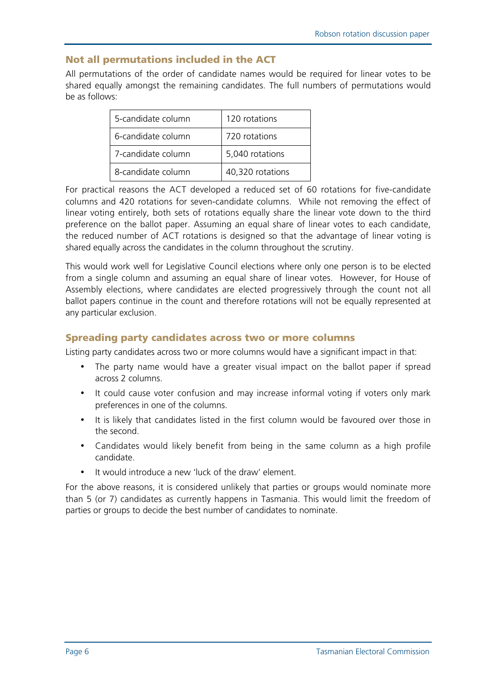# Not all permutations included in the ACT

All permutations of the order of candidate names would be required for linear votes to be shared equally amongst the remaining candidates. The full numbers of permutations would be as follows:

| 5-candidate column | 120 rotations    |  |  |  |
|--------------------|------------------|--|--|--|
| 6-candidate column | 720 rotations    |  |  |  |
| 7-candidate column | 5,040 rotations  |  |  |  |
| 8-candidate column | 40,320 rotations |  |  |  |

For practical reasons the ACT developed a reduced set of 60 rotations for five-candidate columns and 420 rotations for seven-candidate columns. While not removing the effect of linear voting entirely, both sets of rotations equally share the linear vote down to the third preference on the ballot paper. Assuming an equal share of linear votes to each candidate, the reduced number of ACT rotations is designed so that the advantage of linear voting is shared equally across the candidates in the column throughout the scrutiny.

This would work well for Legislative Council elections where only one person is to be elected from a single column and assuming an equal share of linear votes. However, for House of Assembly elections, where candidates are elected progressively through the count not all ballot papers continue in the count and therefore rotations will not be equally represented at any particular exclusion.

# Spreading party candidates across two or more columns

Listing party candidates across two or more columns would have a significant impact in that:

- The party name would have a greater visual impact on the ballot paper if spread across 2 columns.
- It could cause voter confusion and may increase informal voting if voters only mark preferences in one of the columns.
- It is likely that candidates listed in the first column would be favoured over those in the second.
- Candidates would likely benefit from being in the same column as a high profile candidate.
- It would introduce a new 'luck of the draw' element.

For the above reasons, it is considered unlikely that parties or groups would nominate more than 5 (or 7) candidates as currently happens in Tasmania. This would limit the freedom of parties or groups to decide the best number of candidates to nominate.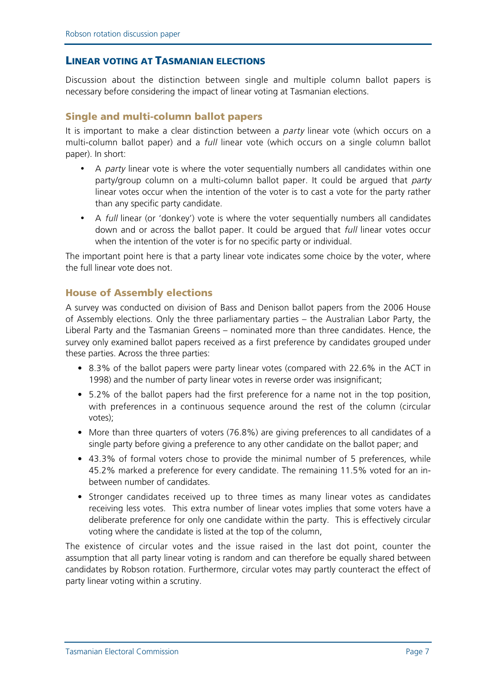#### LINEAR VOTING AT TASMANIAN ELECTIONS

Discussion about the distinction between single and multiple column ballot papers is necessary before considering the impact of linear voting at Tasmanian elections.

#### Single and multi-column ballot papers

It is important to make a clear distinction between a party linear vote (which occurs on a multi-column ballot paper) and a *full* linear vote (which occurs on a single column ballot paper). In short:

- A *party* linear vote is where the voter sequentially numbers all candidates within one party/group column on a multi-column ballot paper. It could be argued that party linear votes occur when the intention of the voter is to cast a vote for the party rather than any specific party candidate.
- A full linear (or 'donkey') vote is where the voter sequentially numbers all candidates down and or across the ballot paper. It could be argued that full linear votes occur when the intention of the voter is for no specific party or individual.

The important point here is that a party linear vote indicates some choice by the voter, where the full linear vote does not.

#### House of Assembly elections

A survey was conducted on division of Bass and Denison ballot papers from the 2006 House of Assembly elections. Only the three parliamentary parties – the Australian Labor Party, the Liberal Party and the Tasmanian Greens – nominated more than three candidates. Hence, the survey only examined ballot papers received as a first preference by candidates grouped under these parties. Across the three parties:

- 8.3% of the ballot papers were party linear votes (compared with 22.6% in the ACT in 1998) and the number of party linear votes in reverse order was insignificant;
- 5.2% of the ballot papers had the first preference for a name not in the top position, with preferences in a continuous sequence around the rest of the column (circular votes);
- More than three quarters of voters (76.8%) are giving preferences to all candidates of a single party before giving a preference to any other candidate on the ballot paper; and
- 43.3% of formal voters chose to provide the minimal number of 5 preferences, while 45.2% marked a preference for every candidate. The remaining 11.5% voted for an inbetween number of candidates.
- Stronger candidates received up to three times as many linear votes as candidates receiving less votes. This extra number of linear votes implies that some voters have a deliberate preference for only one candidate within the party. This is effectively circular voting where the candidate is listed at the top of the column,

The existence of circular votes and the issue raised in the last dot point, counter the assumption that all party linear voting is random and can therefore be equally shared between candidates by Robson rotation. Furthermore, circular votes may partly counteract the effect of party linear voting within a scrutiny.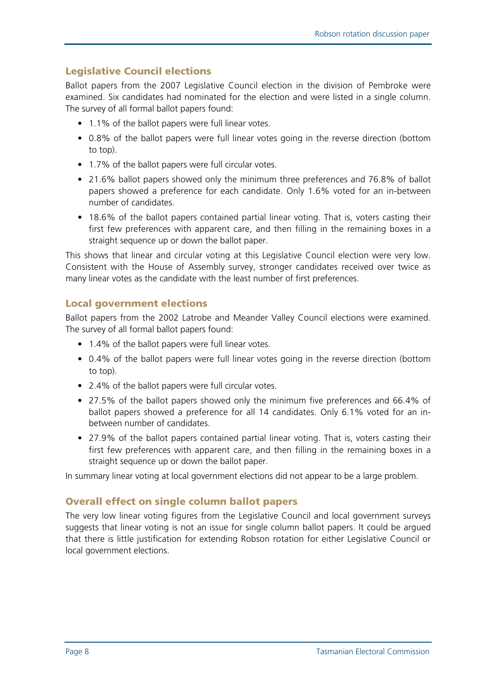# Legislative Council elections

Ballot papers from the 2007 Legislative Council election in the division of Pembroke were examined. Six candidates had nominated for the election and were listed in a single column. The survey of all formal ballot papers found:

- 1.1% of the ballot papers were full linear votes.
- 0.8% of the ballot papers were full linear votes going in the reverse direction (bottom to top).
- 1.7% of the ballot papers were full circular votes.
- 21.6% ballot papers showed only the minimum three preferences and 76.8% of ballot papers showed a preference for each candidate. Only 1.6% voted for an in-between number of candidates.
- 18.6% of the ballot papers contained partial linear voting. That is, voters casting their first few preferences with apparent care, and then filling in the remaining boxes in a straight sequence up or down the ballot paper.

This shows that linear and circular voting at this Legislative Council election were very low. Consistent with the House of Assembly survey, stronger candidates received over twice as many linear votes as the candidate with the least number of first preferences.

# Local government elections

Ballot papers from the 2002 Latrobe and Meander Valley Council elections were examined. The survey of all formal ballot papers found:

- 1.4% of the ballot papers were full linear votes.
- 0.4% of the ballot papers were full linear votes going in the reverse direction (bottom to top).
- 2.4% of the ballot papers were full circular votes.
- 27.5% of the ballot papers showed only the minimum five preferences and 66.4% of ballot papers showed a preference for all 14 candidates. Only 6.1% voted for an inbetween number of candidates.
- 27.9% of the ballot papers contained partial linear voting. That is, voters casting their first few preferences with apparent care, and then filling in the remaining boxes in a straight sequence up or down the ballot paper.

In summary linear voting at local government elections did not appear to be a large problem.

#### Overall effect on single column ballot papers

The very low linear voting figures from the Legislative Council and local government surveys suggests that linear voting is not an issue for single column ballot papers. It could be argued that there is little justification for extending Robson rotation for either Legislative Council or local government elections.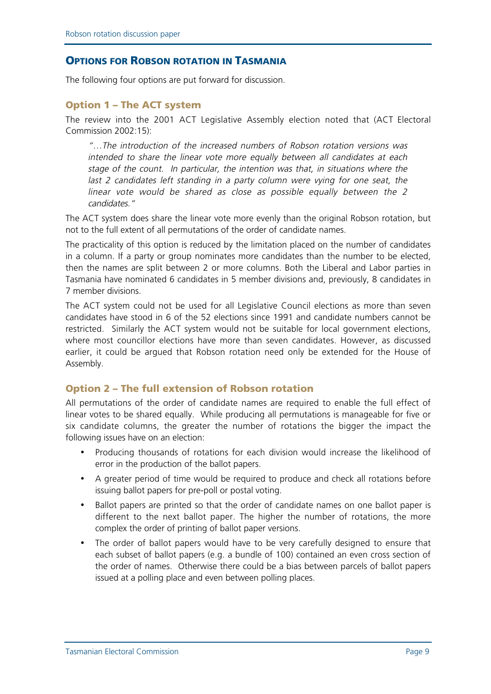#### **OPTIONS FOR ROBSON ROTATION IN TASMANIA**

The following four options are put forward for discussion.

#### Option 1 – The ACT system

The review into the 2001 ACT Legislative Assembly election noted that (ACT Electoral Commission 2002:15):

"…The introduction of the increased numbers of Robson rotation versions was intended to share the linear vote more equally between all candidates at each stage of the count. In particular, the intention was that, in situations where the last 2 candidates left standing in a party column were vying for one seat, the linear vote would be shared as close as possible equally between the 2 candidates."

The ACT system does share the linear vote more evenly than the original Robson rotation, but not to the full extent of all permutations of the order of candidate names.

The practicality of this option is reduced by the limitation placed on the number of candidates in a column. If a party or group nominates more candidates than the number to be elected, then the names are split between 2 or more columns. Both the Liberal and Labor parties in Tasmania have nominated 6 candidates in 5 member divisions and, previously, 8 candidates in 7 member divisions.

The ACT system could not be used for all Legislative Council elections as more than seven candidates have stood in 6 of the 52 elections since 1991 and candidate numbers cannot be restricted. Similarly the ACT system would not be suitable for local government elections, where most councillor elections have more than seven candidates. However, as discussed earlier, it could be argued that Robson rotation need only be extended for the House of Assembly.

#### Option 2 – The full extension of Robson rotation

All permutations of the order of candidate names are required to enable the full effect of linear votes to be shared equally. While producing all permutations is manageable for five or six candidate columns, the greater the number of rotations the bigger the impact the following issues have on an election:

- Producing thousands of rotations for each division would increase the likelihood of error in the production of the ballot papers.
- A greater period of time would be required to produce and check all rotations before issuing ballot papers for pre-poll or postal voting.
- Ballot papers are printed so that the order of candidate names on one ballot paper is different to the next ballot paper. The higher the number of rotations, the more complex the order of printing of ballot paper versions.
- The order of ballot papers would have to be very carefully designed to ensure that each subset of ballot papers (e.g. a bundle of 100) contained an even cross section of the order of names. Otherwise there could be a bias between parcels of ballot papers issued at a polling place and even between polling places.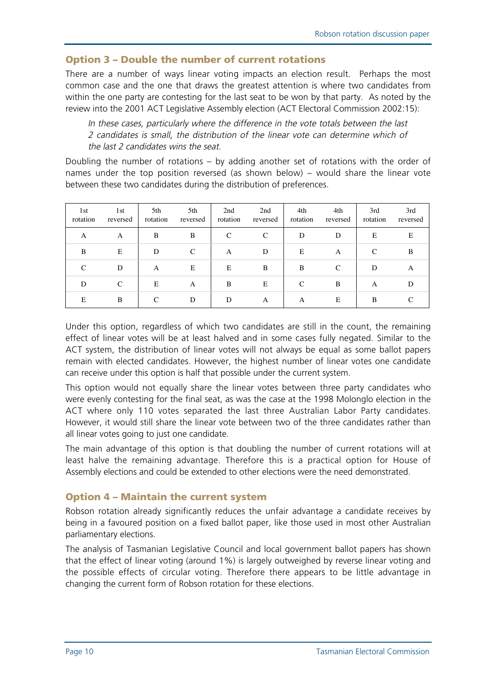# Option 3 – Double the number of current rotations

There are a number of ways linear voting impacts an election result. Perhaps the most common case and the one that draws the greatest attention is where two candidates from within the one party are contesting for the last seat to be won by that party. As noted by the review into the 2001 ACT Legislative Assembly election (ACT Electoral Commission 2002:15):

In these cases, particularly where the difference in the vote totals between the last 2 candidates is small, the distribution of the linear vote can determine which of the last 2 candidates wins the seat.

Doubling the number of rotations – by adding another set of rotations with the order of names under the top position reversed (as shown below) – would share the linear vote between these two candidates during the distribution of preferences.

| 1st<br>rotation | 1st<br>reversed | 5th<br>rotation | 5th<br>reversed | 2nd<br>rotation | 2nd<br>reversed | 4th<br>rotation | 4th<br>reversed | 3rd<br>rotation | 3rd<br>reversed |
|-----------------|-----------------|-----------------|-----------------|-----------------|-----------------|-----------------|-----------------|-----------------|-----------------|
| A               | A               | B               | B               | C               | C               | D               | D               | E               | E               |
| B               | Ε               | D               | $\mathcal{C}$   | A               | D               | E               | A               | $\mathcal{C}$   | B               |
| C               | D               | A               | Ε               | E               | B               | B               | $\mathcal{C}$   | D               | A               |
| D               | C               | E               | A               | B               | E               | C               | B               | A               | D               |
| E               | B               | C               | D               | D               | A               | A               | E               | B               |                 |

Under this option, regardless of which two candidates are still in the count, the remaining effect of linear votes will be at least halved and in some cases fully negated. Similar to the ACT system, the distribution of linear votes will not always be equal as some ballot papers remain with elected candidates. However, the highest number of linear votes one candidate can receive under this option is half that possible under the current system.

This option would not equally share the linear votes between three party candidates who were evenly contesting for the final seat, as was the case at the 1998 Molonglo election in the ACT where only 110 votes separated the last three Australian Labor Party candidates. However, it would still share the linear vote between two of the three candidates rather than all linear votes going to just one candidate.

The main advantage of this option is that doubling the number of current rotations will at least halve the remaining advantage. Therefore this is a practical option for House of Assembly elections and could be extended to other elections were the need demonstrated.

# Option 4 – Maintain the current system

Robson rotation already significantly reduces the unfair advantage a candidate receives by being in a favoured position on a fixed ballot paper, like those used in most other Australian parliamentary elections.

The analysis of Tasmanian Legislative Council and local government ballot papers has shown that the effect of linear voting (around 1%) is largely outweighed by reverse linear voting and the possible effects of circular voting. Therefore there appears to be little advantage in changing the current form of Robson rotation for these elections.